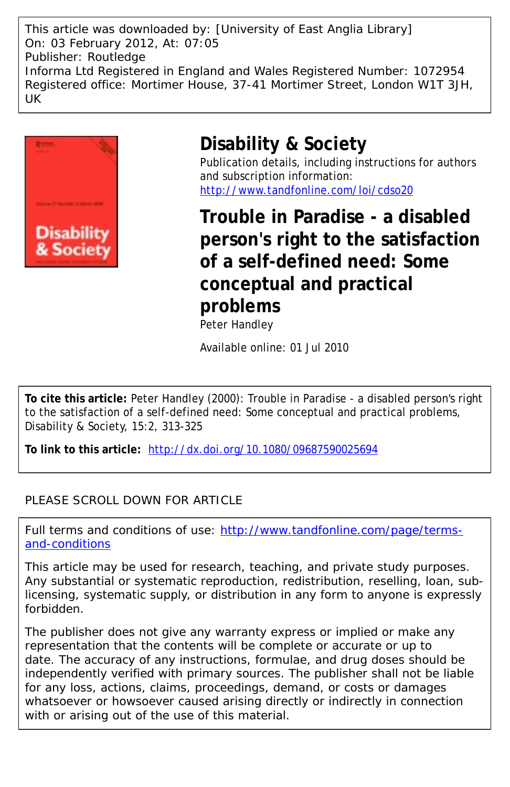This article was downloaded by: [University of East Anglia Library] On: 03 February 2012, At: 07:05 Publisher: Routledge Informa Ltd Registered in England and Wales Registered Number: 1072954 Registered office: Mortimer House, 37-41 Mortimer Street, London W1T 3JH, UK



## **Disability & Society**

Publication details, including instructions for authors and subscription information: <http://www.tandfonline.com/loi/cdso20>

**Trouble in Paradise - a disabled person's right to the satisfaction of a self-defined need: Some conceptual and practical problems**

Peter Handley

Available online: 01 Jul 2010

**To cite this article:** Peter Handley (2000): Trouble in Paradise - a disabled person's right to the satisfaction of a self-defined need: Some conceptual and practical problems, Disability & Society, 15:2, 313-325

**To link to this article:** <http://dx.doi.org/10.1080/09687590025694>

### PLEASE SCROLL DOWN FOR ARTICLE

Full terms and conditions of use: [http://www.tandfonline.com/page/terms](http://www.tandfonline.com/page/terms-and-conditions)[and-conditions](http://www.tandfonline.com/page/terms-and-conditions)

This article may be used for research, teaching, and private study purposes. Any substantial or systematic reproduction, redistribution, reselling, loan, sublicensing, systematic supply, or distribution in any form to anyone is expressly forbidden.

The publisher does not give any warranty express or implied or make any representation that the contents will be complete or accurate or up to date. The accuracy of any instructions, formulae, and drug doses should be independently verified with primary sources. The publisher shall not be liable for any loss, actions, claims, proceedings, demand, or costs or damages whatsoever or howsoever caused arising directly or indirectly in connection with or arising out of the use of this material.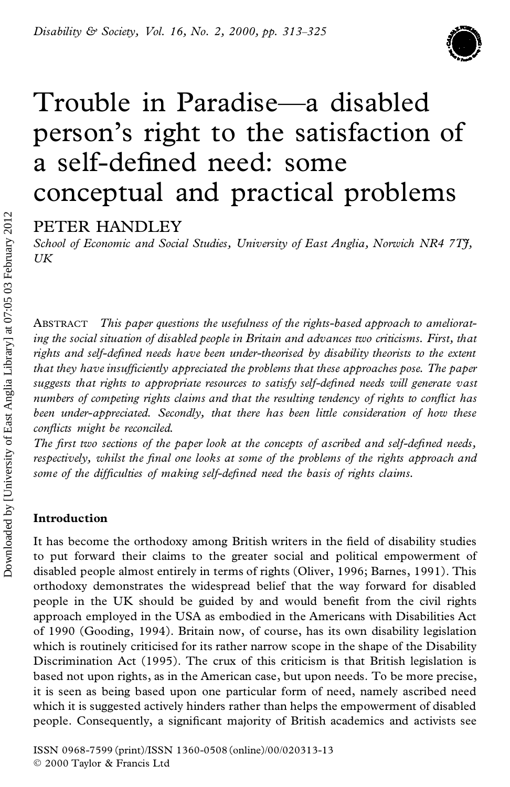

# Trouble in Paradise—a disabled person's right to the satisfaction of a self-defined need: some conceptual and practical problems

PETER HANDLEY

*School of Economic and Social Studies, University of East Anglia, Norwich NR4 7TJ, UK*

ABSTRACT *This paper questions the usefulness of the rights-based approach to ameliorating the social situation of disabled people in Britain and advances two criticisms. First, that rights and self-de ned needs have been under-theorised by disability theorists to the extent that they have insuf ciently appreciated the problems that these approaches pose. The paper suggests that rights to appropriate resources to satisfy self-de ned needs will generate vast numbers of competing rights claims and that the resulting tendency of rights to con ict has been under-appreciated. Secondly, that there has been little consideration of how these con icts might be reconciled.*

*The rst two sections of the paper look at the concepts of ascribed and self-de ned needs, respectively, whilst the nal one looks at some of the problems of the rights approach and some of the dif culties of making self-de ned need the basis of rights claims.*

#### **Introduction**

It has become the orthodoxy among British writers in the field of disability studies to put forward their claims to the greater social and political empowerment of disabled people almost entirely in terms of rights (Oliver, 1996; Barnes, 1991). This orthodoxy demonstrates the widespread belief that the way forward for disabled people in the UK should be guided by and would benefit from the civil rights approach employed in the USA as embodied in the Americans with Disabilities Act of 1990 (Gooding, 1994). Britain now, of course, has its own disability legislation which is routinely criticised for its rather narrow scope in the shape of the Disability Discrimination Act (1995). The crux of this criticism is that British legislation is based not upon rights, as in the American case, but upon needs. To be more precise, it is seen as being based upon one particular form of need, namely ascribed need which it is suggested actively hinders rather than helps the empowerment of disabled people. Consequently, a significant majority of British academics and activists see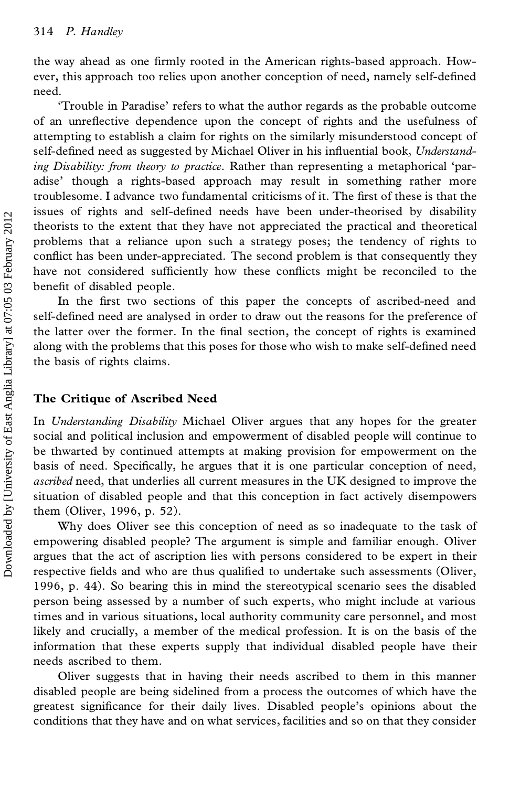the way ahead as one firmly rooted in the American rights-based approach. However, this approach too relies upon another conception of need, namely self-defined need.

'Trouble in Paradise' refers to what the author regards as the probable outcome of an unreflective dependence upon the concept of rights and the usefulness of attempting to establish a claim for rights on the similarly misunderstood concept of self-defined need as suggested by Michael Oliver in his influential book, *Understanding Disability: from theory to practice*. Rather than representing a metaphorical 'paradise' though a rights-based approach may result in something rather more troublesome. I advance two fundamental criticisms of it. The first of these is that the issues of rights and self-defined needs have been under-theorised by disability theorists to the extent that they have not appreciated the practical and theoretical problems that a reliance upon such a strategy poses; the tendency of rights to conflict has been under-appreciated. The second problem is that consequently they have not considered sufficiently how these conflicts might be reconciled to the benefit of disabled people.

In the first two sections of this paper the concepts of ascribed-need and self-defined need are analysed in order to draw out the reasons for the preference of the latter over the former. In the final section, the concept of rights is examined along with the problems that this poses for those who wish to make self-defined need the basis of rights claims.

#### **The Critique of Ascribed Need**

In *Understanding Disability* Michael Oliver argues that any hopes for the greater social and political inclusion and empowerment of disabled people will continue to be thwarted by continued attempts at making provision for empowerment on the basis of need. Specifically, he argues that it is one particular conception of need, *ascribed* need, that underlies all current measures in the UK designed to improve the situation of disabled people and that this conception in fact actively disempowers them (Oliver, 1996, p. 52).

Why does Oliver see this conception of need as so inadequate to the task of empowering disabled people? The argument is simple and familiar enough. Oliver argues that the act of ascription lies with persons considered to be expert in their respective fields and who are thus qualified to undertake such assessments (Oliver, 1996, p. 44). So bearing this in mind the stereotypical scenario sees the disabled person being assessed by a number of such experts, who might include at various times and in various situations, local authority community care personnel, and most likely and crucially, a member of the medical profession. It is on the basis of the information that these experts supply that individual disabled people have their needs ascribed to them.

Oliver suggests that in having their needs ascribed to them in this manner disabled people are being sidelined from a process the outcomes of which have the greatest significance for their daily lives. Disabled people's opinions about the conditions that they have and on what services, facilities and so on that they consider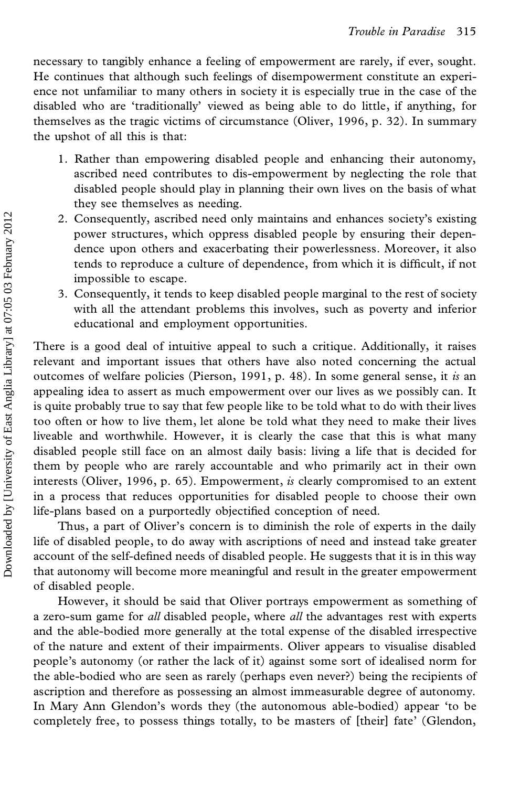necessary to tangibly enhance a feeling of empowerment are rarely, if ever, sought. He continues that although such feelings of disempowerment constitute an experience not unfamiliar to many others in society it is especially true in the case of the disabled who are 'traditionally' viewed as being able to do little, if anything, for themselves as the tragic victims of circumstance (Oliver, 1996, p. 32). In summary the upshot of all this is that:

- 1. Rather than empowering disabled people and enhancing their autonomy, ascribed need contributes to dis-empowerment by neglecting the role that disabled people should play in planning their own lives on the basis of what they see themselves as needing.
- 2. Consequently, ascribed need only maintains and enhances society's existing power structures, which oppress disabled people by ensuring their dependence upon others and exacerbating their powerlessness. Moreover, it also tends to reproduce a culture of dependence, from which it is difficult, if not impossible to escape.
- 3. Consequently, it tends to keep disabled people marginal to the rest of society with all the attendant problems this involves, such as poverty and inferior educational and employment opportunities.

There is a good deal of intuitive appeal to such a critique. Additionally, it raises relevant and important issues that others have also noted concerning the actual outcomes of welfare policies (Pierson, 1991, p. 48). In some general sense, it *is* an appealing idea to assert as much empowerment over our lives as we possibly can. It is quite probably true to say that few people like to be told what to do with their lives too often or how to live them, let alone be told what they need to make their lives liveable and worthwhile. However, it is clearly the case that this is what many disabled people still face on an almost daily basis: living a life that is decided for them by people who are rarely accountable and who primarily act in their own interests (Oliver, 1996, p. 65). Empowerment, *is* clearly compromised to an extent in a process that reduces opportunities for disabled people to choose their own life-plans based on a purportedly objectified conception of need.

Thus, a part of Oliver's concern is to diminish the role of experts in the daily life of disabled people, to do away with ascriptions of need and instead take greater account of the self-defined needs of disabled people. He suggests that it is in this way that autonomy will become more meaningful and result in the greater empowerment of disabled people.

However, it should be said that Oliver portrays empowerment as something of a zero-sum game for *all* disabled people, where *all* the advantages rest with experts and the able-bodied more generally at the total expense of the disabled irrespective of the nature and extent of their impairments. Oliver appears to visualise disabled people's autonomy (or rather the lack of it) against some sort of idealised norm for the able-bodied who are seen as rarely (perhaps even never?) being the recipients of ascription and therefore as possessing an almost immeasurable degree of autonomy. In Mary Ann Glendon's words they (the autonomous able-bodied) appear 'to be completely free, to possess things totally, to be masters of [their] fate' (Glendon,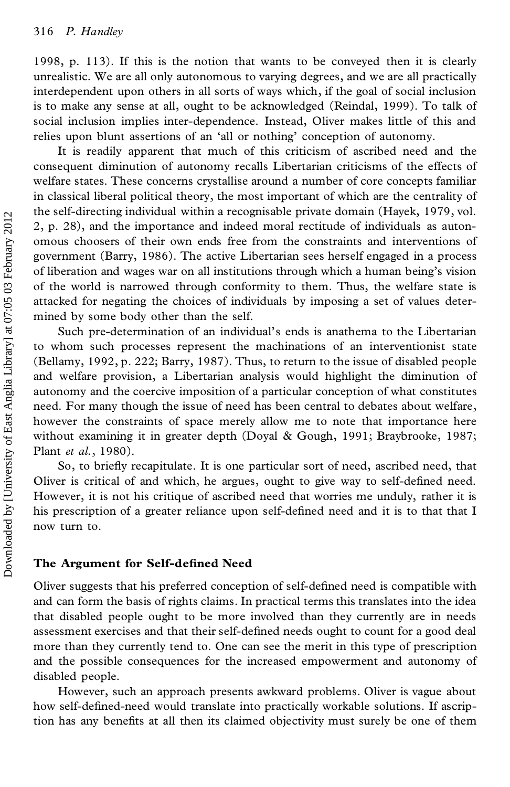1998, p. 113). If this is the notion that wants to be conveyed then it is clearly unrealistic. We are all only autonomous to varying degrees, and we are all practically interdependent upon others in all sorts of ways which, if the goal of social inclusion is to make any sense at all, ought to be acknowledged (Reindal, 1999). To talk of social inclusion implies inter-dependence. Instead, Oliver makes little of this and relies upon blunt assertions of an 'all or nothing' conception of autonomy.

It is readily apparent that much of this criticism of ascribed need and the consequent diminution of autonomy recalls Libertarian criticisms of the effects of welfare states. These concerns crystallise around a number of core concepts familiar in classical liberal political theory, the most important of which are the centrality of the self-directing individual within a recognisable private domain (Hayek, 1979, vol. 2, p. 28), and the importance and indeed moral rectitude of individuals as autonomous choosers of their own ends free from the constraints and interventions of government (Barry, 1986). The active Libertarian sees herself engaged in a process of liberation and wages war on all institutions through which a human being's vision of the world is narrowed through conformity to them. Thus, the welfare state is attacked for negating the choices of individuals by imposing a set of values determined by some body other than the self.

Such pre-determination of an individual's ends is anathema to the Libertarian to whom such processes represent the machinations of an interventionist state (Bellamy, 1992, p. 222; Barry, 1987). Thus, to return to the issue of disabled people and welfare provision, a Libertarian analysis would highlight the diminution of autonomy and the coercive imposition of a particular conception of what constitutes need. For many though the issue of need has been central to debates about welfare, however the constraints of space merely allow me to note that importance here without examining it in greater depth (Doyal & Gough, 1991; Braybrooke, 1987; Plant *et al.*, 1980).

So, to briefly recapitulate. It is one particular sort of need, ascribed need, that Oliver is critical of and which, he argues, ought to give way to self-defined need. However, it is not his critique of ascribed need that worries me unduly, rather it is his prescription of a greater reliance upon self-defined need and it is to that that I now turn to.

#### **The Argument for Self-de ned Need**

Oliver suggests that his preferred conception of self-defined need is compatible with and can form the basis of rights claims. In practical terms this translates into the idea that disabled people ought to be more involved than they currently are in needs assessment exercises and that their self-defined needs ought to count for a good deal more than they currently tend to. One can see the merit in this type of prescription and the possible consequences for the increased empowerment and autonomy of disabled people.

However, such an approach presents awkward problems. Oliver is vague about how self-defined-need would translate into practically workable solutions. If ascription has any benefits at all then its claimed objectivity must surely be one of them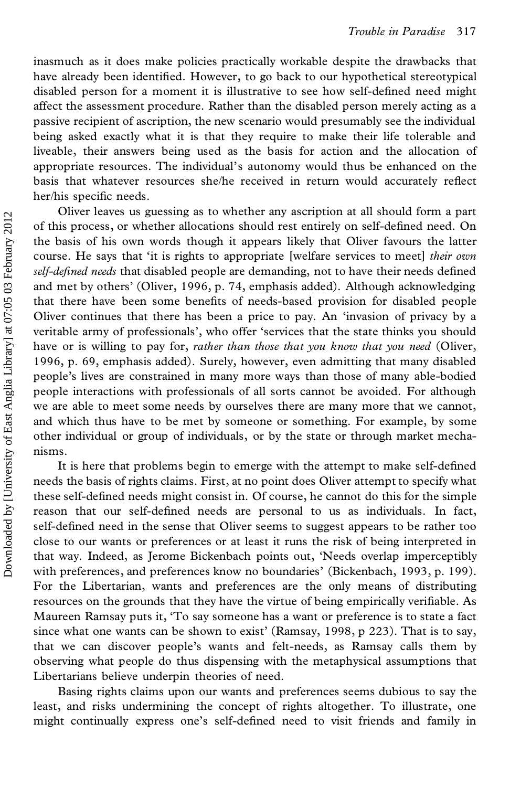inasmuch as it does make policies practically workable despite the drawbacks that have already been identified. However, to go back to our hypothetical stereotypical disabled person for a moment it is illustrative to see how self-defined need might affect the assessment procedure. Rather than the disabled person merely acting as a passive recipient of ascription, the new scenario would presumably see the individual being asked exactly what it is that they require to make their life tolerable and liveable, their answers being used as the basis for action and the allocation of appropriate resources. The individual's autonomy would thus be enhanced on the basis that whatever resources she/he received in return would accurately reflect her/his specific needs.

Oliver leaves us guessing as to whether any ascription at all should form a part of this process, or whether allocations should rest entirely on self-defined need. On the basis of his own words though it appears likely that Oliver favours the latter course. He says that 'it is rights to appropriate [welfare services to meet] *their own self-defined needs* that disabled people are demanding, not to have their needs defined and met by others' (Oliver, 1996, p. 74, emphasis added). Although acknowledging that there have been some benefits of needs-based provision for disabled people Oliver continues that there has been a price to pay. An 'invasion of privacy by a veritable army of professionals', who offer 'services that the state thinks you should have or is willing to pay for, *rather than those that you know that you need* (Oliver, 1996, p. 69, emphasis added). Surely, however, even admitting that many disabled people's lives are constrained in many more ways than those of many able-bodied people interactions with professionals of all sorts cannot be avoided. For although we are able to meet some needs by ourselves there are many more that we cannot, and which thus have to be met by someone or something. For example, by some other individual or group of individuals, or by the state or through market mechanisms.

It is here that problems begin to emerge with the attempt to make self-defined needs the basis of rights claims. First, at no point does Oliver attempt to specify what these self-defined needs might consist in. Of course, he cannot do this for the simple reason that our self-defined needs are personal to us as individuals. In fact, self-defined need in the sense that Oliver seems to suggest appears to be rather too close to our wants or preferences or at least it runs the risk of being interpreted in that way. Indeed, as Jerome Bickenbach points out, 'Needs overlap imperceptibly with preferences, and preferences know no boundaries' (Bickenbach, 1993, p. 199). For the Libertarian, wants and preferences are the only means of distributing resources on the grounds that they have the virtue of being empirically verifiable. As Maureen Ramsay puts it, 'To say someone has a want or preference is to state a fact since what one wants can be shown to exist' (Ramsay, 1998, p 223). That is to say, that we can discover people's wants and felt-needs, as Ramsay calls them by observing what people do thus dispensing with the metaphysical assumptions that Libertarians believe underpin theories of need.

Basing rights claims upon our wants and preferences seems dubious to say the least, and risks undermining the concept of rights altogether. To illustrate, one might continually express one's self-defined need to visit friends and family in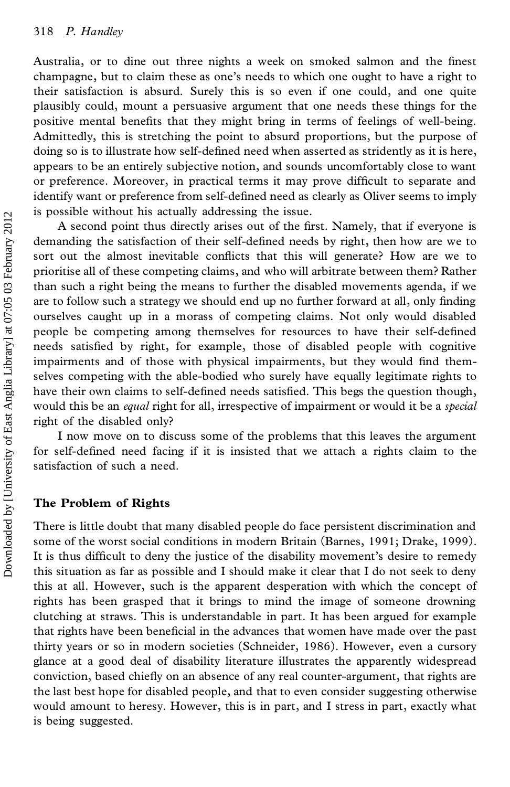Australia, or to dine out three nights a week on smoked salmon and the finest champagne, but to claim these as one's needs to which one ought to have a right to their satisfaction is absurd. Surely this is so even if one could, and one quite plausibly could, mount a persuasive argument that one needs these things for the positive mental benefits that they might bring in terms of feelings of well-being. Admittedly, this is stretching the point to absurd proportions, but the purpose of doing so is to illustrate how self-defined need when asserted as stridently as it is here, appears to be an entirely subjective notion, and sounds uncomfortably close to want or preference. Moreover, in practical terms it may prove difficult to separate and identify want or preference from self-defined need as clearly as Oliver seems to imply is possible without his actually addressing the issue.

A second point thus directly arises out of the first. Namely, that if everyone is demanding the satisfaction of their self-defined needs by right, then how are we to sort out the almost inevitable conflicts that this will generate? How are we to prioritise all of these competing claims, and who will arbitrate between them? Rather than such a right being the means to further the disabled movements agenda, if we are to follow such a strategy we should end up no further forward at all, only finding ourselves caught up in a morass of competing claims. Not only would disabled people be competing among themselves for resources to have their self-defined needs satisfied by right, for example, those of disabled people with cognitive impairments and of those with physical impairments, but they would find themselves competing with the able-bodied who surely have equally legitimate rights to have their own claims to self-defined needs satisfied. This begs the question though, would this be an *equal* right for all, irrespective of impairment or would it be a *special* right of the disabled only?

I now move on to discuss some of the problems that this leaves the argument for self-defined need facing if it is insisted that we attach a rights claim to the satisfaction of such a need.

#### **The Problem of Rights**

There is little doubt that many disabled people do face persistent discrimination and some of the worst social conditions in modern Britain (Barnes, 1991; Drake, 1999). It is thus difficult to deny the justice of the disability movement's desire to remedy this situation as far as possible and I should make it clear that I do not seek to deny this at all. However, such is the apparent desperation with which the concept of rights has been grasped that it brings to mind the image of someone drowning clutching at straws. This is understandable in part. It has been argued for example that rights have been beneficial in the advances that women have made over the past thirty years or so in modern societies (Schneider, 1986). However, even a cursory glance at a good deal of disability literature illustrates the apparently widespread conviction, based chiefly on an absence of any real counter-argument, that rights are the last best hope for disabled people, and that to even consider suggesting otherwise would amount to heresy. However, this is in part, and I stress in part, exactly what is being suggested.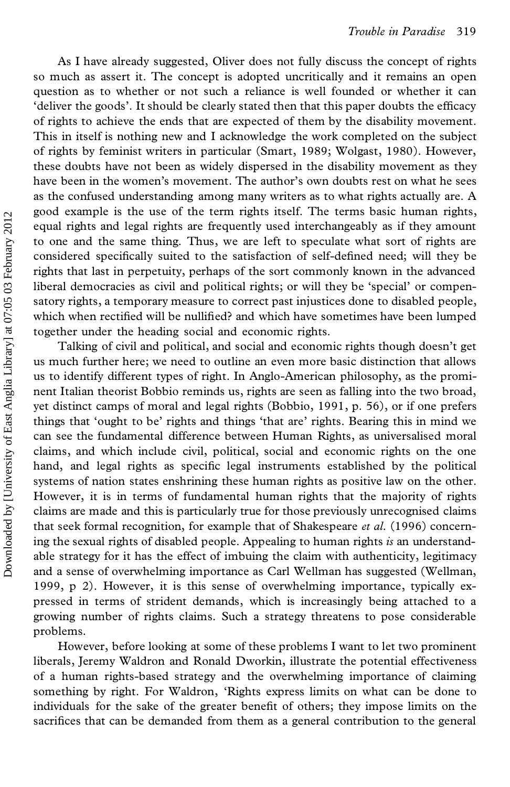As I have already suggested, Oliver does not fully discuss the concept of rights so much as assert it. The concept is adopted uncritically and it remains an open question as to whether or not such a reliance is well founded or whether it can 'deliver the goods'. It should be clearly stated then that this paper doubts the efficacy of rights to achieve the ends that are expected of them by the disability movement. This in itself is nothing new and I acknowledge the work completed on the subject of rights by feminist writers in particular (Smart, 1989; Wolgast, 1980). However, these doubts have not been as widely dispersed in the disability movement as they have been in the women's movement. The author's own doubts rest on what he sees as the confused understanding among many writers as to what rights actually are. A good example is the use of the term rights itself. The terms basic human rights, equal rights and legal rights are frequently used interchangeably as if they amount to one and the same thing. Thus, we are left to speculate what sort of rights are considered specifically suited to the satisfaction of self-defined need; will they be rights that last in perpetuity, perhaps of the sort commonly known in the advanced liberal democracies as civil and political rights; or will they be 'special' or compensatory rights, a temporary measure to correct past injustices done to disabled people, which when rectified will be nullified? and which have sometimes have been lumped together under the heading social and economic rights.

Talking of civil and political, and social and economic rights though doesn't get us much further here; we need to outline an even more basic distinction that allows us to identify different types of right. In Anglo-American philosophy, as the prominent Italian theorist Bobbio reminds us, rights are seen as falling into the two broad, yet distinct camps of moral and legal rights (Bobbio, 1991, p. 56), or if one prefers things that 'ought to be' rights and things 'that are' rights. Bearing this in mind we can see the fundamental difference between Human Rights, as universalised moral claims, and which include civil, political, social and economic rights on the one hand, and legal rights as specific legal instruments established by the political systems of nation states enshrining these human rights as positive law on the other. However, it is in terms of fundamental human rights that the majority of rights claims are made and this is particularly true for those previously unrecognised claims that seek formal recognition, for example that of Shakespeare *et al.* (1996) concerning the sexual rights of disabled people. Appealing to human rights *is* an understandable strategy for it has the effect of imbuing the claim with authenticity, legitimacy and a sense of overwhelming importance as Carl Wellman has suggested (Wellman, 1999, p 2). However, it is this sense of overwhelming importance, typically expressed in terms of strident demands, which is increasingly being attached to a growing number of rights claims. Such a strategy threatens to pose considerable problems.

However, before looking at some of these problems I want to let two prominent liberals, Jeremy Waldron and Ronald Dworkin, illustrate the potential effectiveness of a human rights-based strategy and the overwhelming importance of claiming something by right. For Waldron, 'Rights express limits on what can be done to individuals for the sake of the greater benefit of others; they impose limits on the sacrifices that can be demanded from them as a general contribution to the general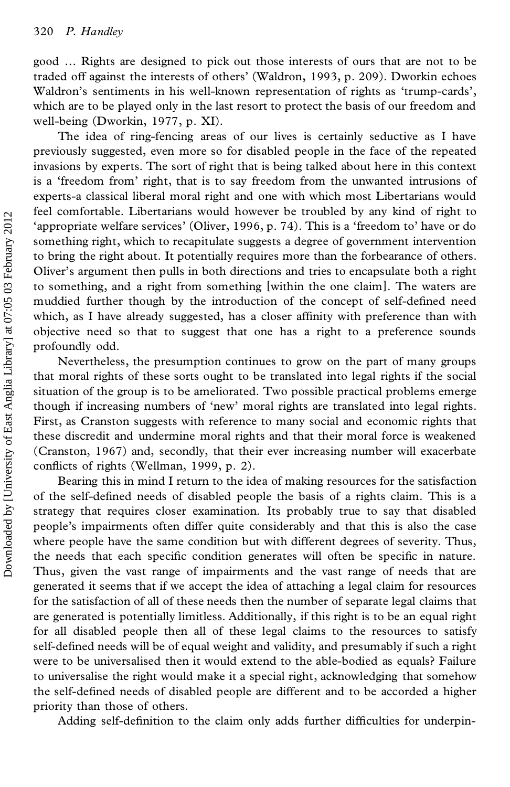good … Rights are designed to pick out those interests of ours that are not to be traded off against the interests of others' (Waldron, 1993, p. 209). Dworkin echoes Waldron's sentiments in his well-known representation of rights as 'trump-cards', which are to be played only in the last resort to protect the basis of our freedom and well-being (Dworkin, 1977, p. XI).

The idea of ring-fencing areas of our lives is certainly seductive as I have previously suggested, even more so for disabled people in the face of the repeated invasions by experts. The sort of right that is being talked about here in this context is a 'freedom from' right, that is to say freedom from the unwanted intrusions of experts-a classical liberal moral right and one with which most Libertarians would feel comfortable. Libertarians would however be troubled by any kind of right to 'appropriate welfare services' (Oliver, 1996, p. 74). This is a 'freedom to' have or do something right, which to recapitulate suggests a degree of government intervention to bring the right about. It potentially requires more than the forbearance of others. Oliver's argument then pulls in both directions and tries to encapsulate both a right to something, and a right from something [within the one claim]. The waters are muddied further though by the introduction of the concept of self-defined need which, as I have already suggested, has a closer affinity with preference than with objective need so that to suggest that one has a right to a preference sounds profoundly odd.

Nevertheless, the presumption continues to grow on the part of many groups that moral rights of these sorts ought to be translated into legal rights if the social situation of the group is to be ameliorated. Two possible practical problems emerge though if increasing numbers of 'new' moral rights are translated into legal rights. First, as Cranston suggests with reference to many social and economic rights that these discredit and undermine moral rights and that their moral force is weakened (Cranston, 1967) and, secondly, that their ever increasing number will exacerbate conflicts of rights (Wellman, 1999, p. 2).

Bearing this in mind I return to the idea of making resources for the satisfaction of the self-defined needs of disabled people the basis of a rights claim. This is a strategy that requires closer examination. Its probably true to say that disabled people's impairments often differ quite considerably and that this is also the case where people have the same condition but with different degrees of severity. Thus, the needs that each specific condition generates will often be specific in nature. Thus, given the vast range of impairments and the vast range of needs that are generated it seems that if we accept the idea of attaching a legal claim forresources for the satisfaction of all of these needs then the number of separate legal claims that are generated is potentially limitless. Additionally, if this right is to be an equal right for all disabled people then all of these legal claims to the resources to satisfy self-defined needs will be of equal weight and validity, and presumably if such a right were to be universalised then it would extend to the able-bodied as equals? Failure to universalise the right would make it a special right, acknowledging that somehow the self-defined needs of disabled people are different and to be accorded a higher priority than those of others.

Adding self-definition to the claim only adds further difficulties for underpin-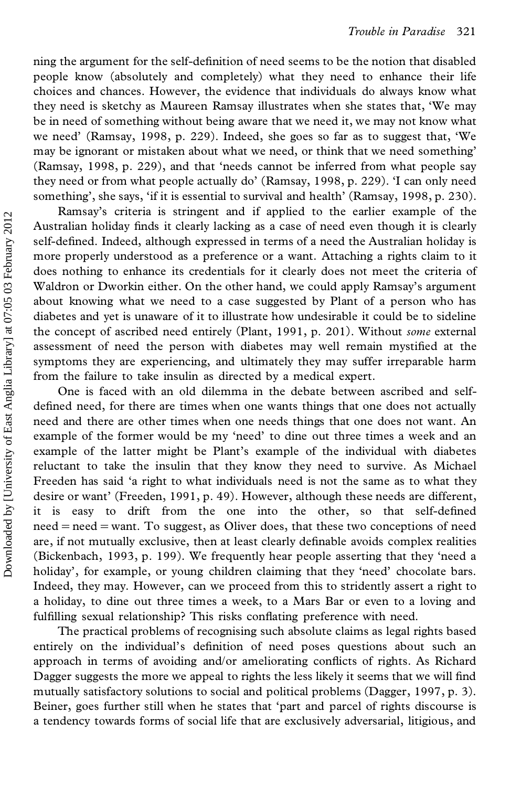ning the argument for the self-definition of need seems to be the notion that disabled people know (absolutely and completely) what they need to enhance their life choices and chances. However, the evidence that individuals do always know what they need is sketchy as Maureen Ramsay illustrates when she states that, 'We may be in need of something without being aware that we need it, we may not know what we need' (Ramsay, 1998, p. 229). Indeed, she goes so far as to suggest that, 'We may be ignorant or mistaken about what we need, or think that we need something' (Ramsay, 1998, p. 229), and that 'needs cannot be inferred from what people say they need or from what people actually do' (Ramsay, 1998, p. 229). 'I can only need something', she says, 'if it is essential to survival and health' (Ramsay, 1998, p. 230).

Ramsay's criteria is stringent and if applied to the earlier example of the Australian holiday finds it clearly lacking as a case of need even though it is clearly self-defined. Indeed, although expressed in terms of a need the Australian holiday is more properly understood as a preference or a want. Attaching a rights claim to it does nothing to enhance its credentials for it clearly does not meet the criteria of Waldron or Dworkin either. On the other hand, we could apply Ramsay's argument about knowing what we need to a case suggested by Plant of a person who has diabetes and yet is unaware of it to illustrate how undesirable it could be to sideline the concept of ascribed need entirely (Plant, 1991, p. 201). Without *some* external assessment of need the person with diabetes may well remain mystified at the symptoms they are experiencing, and ultimately they may suffer irreparable harm from the failure to take insulin as directed by a medical expert.

One is faced with an old dilemma in the debate between ascribed and selfdefined need, for there are times when one wants things that one does not actually need and there are other times when one needs things that one does not want. An example of the former would be my 'need' to dine out three times a week and an example of the latter might be Plant's example of the individual with diabetes reluctant to take the insulin that they know they need to survive. As Michael Freeden has said 'a right to what individuals need is not the same as to what they desire or want' (Freeden, 1991, p. 49). However, although these needs are different, it is easy to drift from the one into the other, so that self-defined  $need = need = want$ . To suggest, as Oliver does, that these two conceptions of need are, if not mutually exclusive, then at least clearly definable avoids complex realities (Bickenbach, 1993, p. 199). We frequently hear people asserting that they 'need a holiday', for example, or young children claiming that they 'need' chocolate bars. Indeed, they may. However, can we proceed from this to stridently assert a right to a holiday, to dine out three times a week, to a Mars Bar or even to a loving and ful filling sexual relationship? This risks conflating preference with need.

The practical problems of recognising such absolute claims as legal rights based entirely on the individual's definition of need poses questions about such an approach in terms of avoiding and/or ameliorating conflicts of rights. As Richard Dagger suggests the more we appeal to rights the less likely it seems that we will find mutually satisfactory solutions to social and political problems (Dagger, 1997, p. 3). Beiner, goes further still when he states that 'part and parcel of rights discourse is a tendency towards forms of social life that are exclusively adversarial, litigious, and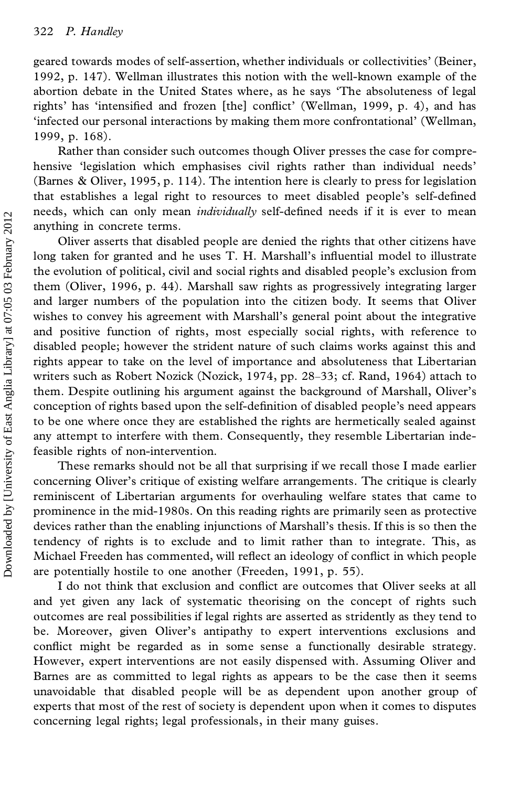geared towards modes of self-assertion, whether individuals or collectivities' (Beiner, 1992, p. 147). Wellman illustrates this notion with the well-known example of the abortion debate in the United States where, as he says 'The absoluteness of legal rights' has 'intensified and frozen [the] conflict' (Wellman, 1999, p. 4), and has 'infected our personal interactions by making them more confrontational' (Wellman, 1999, p. 168).

Rather than consider such outcomes though Oliver presses the case for comprehensive 'legislation which emphasises civil rights rather than individual needs' (Barnes  $\&$  Oliver, 1995, p. 114). The intention here is clearly to press for legislation that establishes a legal right to resources to meet disabled people's self-defined needs, which can only mean *individually* self-defined needs if it is ever to mean anything in concrete terms.

Oliver asserts that disabled people are denied the rights that other citizens have long taken for granted and he uses T. H. Marshall's influential model to illustrate the evolution of political, civil and social rights and disabled people's exclusion from them (Oliver, 1996, p. 44). Marshall saw rights as progressively integrating larger and larger numbers of the population into the citizen body. It seems that Oliver wishes to convey his agreement with Marshall's general point about the integrative and positive function of rights, most especially social rights, with reference to disabled people; however the strident nature of such claims works against this and rights appear to take on the level of importance and absoluteness that Libertarian writers such as Robert Nozick (Nozick, 1974, pp. 28–33; cf. Rand, 1964) attach to them. Despite outlining his argument against the background of Marshall, Oliver's conception of rights based upon the self-definition of disabled people's need appears to be one where once they are established the rights are hermetically sealed against any attempt to interfere with them. Consequently, they resemble Libertarian indefeasible rights of non-intervention.

These remarks should not be all that surprising if we recall those I made earlier concerning Oliver's critique of existing welfare arrangements. The critique is clearly reminiscent of Libertarian arguments for overhauling welfare states that came to prominence in the mid-1980s. On this reading rights are primarily seen as protective devices rather than the enabling injunctions of Marshall's thesis. If this is so then the tendency of rights is to exclude and to limit rather than to integrate. This, as Michael Freeden has commented, will reflect an ideology of conflict in which people are potentially hostile to one another (Freeden, 1991, p. 55).

I do not think that exclusion and conflict are outcomes that Oliver seeks at all and yet given any lack of systematic theorising on the concept of rights such outcomes are real possibilities if legal rights are asserted as stridently as they tend to be. Moreover, given Oliver's antipathy to expert interventions exclusions and conflict might be regarded as in some sense a functionally desirable strategy. However, expert interventions are not easily dispensed with. Assuming Oliver and Barnes are as committed to legal rights as appears to be the case then it seems unavoidable that disabled people will be as dependent upon another group of experts that most of the rest of society is dependent upon when it comes to disputes concerning legal rights; legal professionals, in their many guises.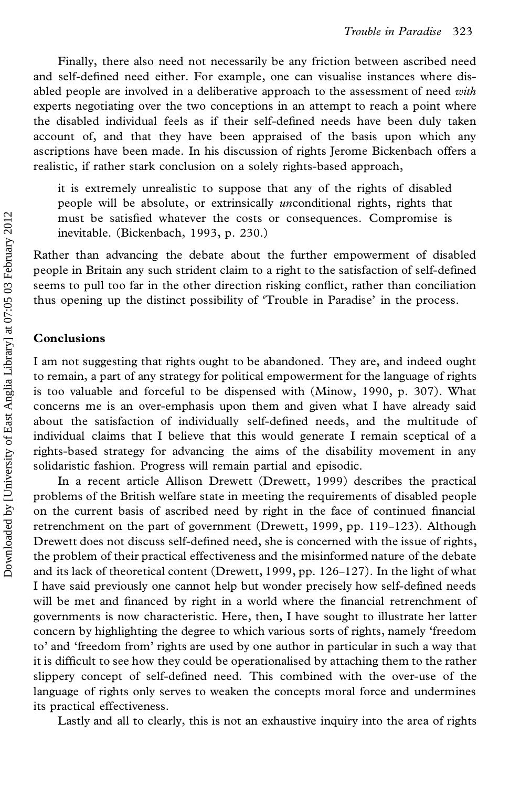Finally, there also need not necessarily be any friction between ascribed need and self-defined need either. For example, one can visualise instances where disabled people are involved in a deliberative approach to the assessment of need *with* experts negotiating over the two conceptions in an attempt to reach a point where the disabled individual feels as if their self-defined needs have been duly taken account of, and that they have been appraised of the basis upon which any ascriptions have been made. In his discussion of rights Jerome Bickenbach offers a realistic, if rather stark conclusion on a solely rights-based approach,

it is extremely unrealistic to suppose that any of the rights of disabled people will be absolute, or extrinsically *un*conditional rights, rights that must be satisfied whatever the costs or consequences. Compromise is inevitable. (Bickenbach, 1993, p. 230.)

Rather than advancing the debate about the further empowerment of disabled people in Britain any such strident claim to a right to the satisfaction of self-defined seems to pull too far in the other direction risking conflict, rather than conciliation thus opening up the distinct possibility of 'Trouble in Paradise' in the process.

#### **Conclusions**

I am not suggesting that rights ought to be abandoned. They are, and indeed ought to remain, a part of any strategy for political empowerment for the language of rights is too valuable and forceful to be dispensed with (Minow, 1990, p. 307). What concerns me is an over-emphasis upon them and given what I have already said about the satisfaction of individually self-defined needs, and the multitude of individual claims that I believe that this would generate I remain sceptical of a rights-based strategy for advancing the aims of the disability movement in any solidaristic fashion. Progress will remain partial and episodic.

In a recent article Allison Drewett (Drewett, 1999) describes the practical problems of the British welfare state in meeting the requirements of disabled people on the current basis of ascribed need by right in the face of continued financial retrenchment on the part of government (Drewett, 1999, pp. 119–123). Although Drewett does not discuss self-defined need, she is concerned with the issue of rights, the problem of their practical effectiveness and the misinformed nature of the debate and its lack of theoretical content (Drewett, 1999, pp. 126–127). In the light of what I have said previously one cannot help but wonder precisely how self-defined needs will be met and financed by right in a world where the financial retrenchment of governments is now characteristic. Here, then, I have sought to illustrate her latter concern by highlighting the degree to which various sorts of rights, namely 'freedom to' and 'freedom from' rights are used by one author in particular in such a way that it is difficult to see how they could be operationalised by attaching them to the rather slippery concept of self-defined need. This combined with the over-use of the language of rights only serves to weaken the concepts moral force and undermines its practical effectiveness.

Lastly and all to clearly, this is not an exhaustive inquiry into the area of rights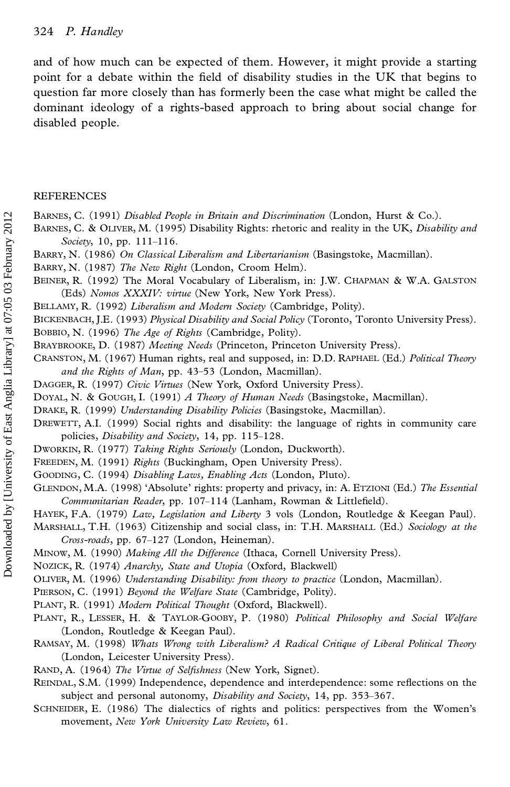and of how much can be expected of them. However, it might provide a starting point for a debate within the field of disability studies in the UK that begins to question far more closely than has formerly been the case what might be called the dominant ideology of a rights-based approach to bring about social change for disabled people.

#### REFERENCES

- BARNES, C. (1991) *Disabled People in Britain and Discrimination* (London, Hurst & Co.).
- BARNES, C. & OLIVER, M. (1995) Disability Rights: rhetoric and reality in the UK, *Disability and Society*, 10, pp. 111–116.
- BARRY, N. (1986) *On Classical Liberalism and Libertarianism* (Basingstoke, Macmillan).
- BARRY, N. (1987) *The New Right* (London, Croom Helm).
- BEINER, R. (1992) The Moral Vocabulary of Liberalism, in: J.W. CHAPMAN & W.A. GALSTON (Eds) *Nomos XXXIV: virtue* (New York, New York Press).
- BELLAMY, R. (1992) *Liberalism and Modern Society* (Cambridge, Polity).
- BICKENBACH, J.E. (1993) *Physical Disability and Social Policy* (Toronto, Toronto University Press).
- BOBBIO, N. (1996) *The Age of Rights* (Cambridge, Polity).
- BRAYBROOKE, D. (1987) *Meeting Needs* (Princeton, Princeton University Press).
- CRANSTON, M. (1967) Human rights, real and supposed, in: D.D. RAPHAEL (Ed.) *Political Theory and the Rights of Man*, pp. 43–53 (London, Macmillan).
- DAGGER, R. (1997) *Civic Virtues* (New York, Oxford University Press).
- DOYAL, N. & GOUGH, I. (1991) *A Theory of Human Needs* (Basingstoke, Macmillan).
- DRAKE, R. (1999) *Understanding Disability Policies* (Basingstoke, Macmillan).
- DREWETT, A.I. (1999) Social rights and disability: the language of rights in community care policies, *Disability and Society*, 14, pp. 115–128.
- DWORKIN, R. (1977) *Taking Rights Seriously* (London, Duckworth).
- FREEDEN, M. (1991) *Rights* (Buckingham, Open University Press).
- GOODING, C. (1994) *Disabling Laws, Enabling Acts* (London, Pluto).
- GLENDON,M.A. (1998) 'Absolute' rights: property and privacy, in: A. ETZIONI (Ed.) *The Essential Communitarian Reader*, pp. 107-114 (Lanham, Rowman & Littlefield).
- HAYEK, F.A. (1979) *Law, Legislation and Liberty* 3 vols (London, Routledge & Keegan Paul).
- MARSHALL, T.H. (1963) Citizenship and social class, in: T.H. MARSHALL (Ed.) *Sociology at the Cross-roads*, pp. 67–127 (London, Heineman).
- MINOW, M. (1990) *Making All the Difference* (Ithaca, Cornell University Press).
- NOZICK, R. (1974) *Anarchy, State and Utopia* (Oxford, Blackwell)
- OLIVER, M. (1996) *Understanding Disability: from theory to practice* (London, Macmillan).
- PIERSON, C. (1991) *Beyond the Welfare State* (Cambridge, Polity).
- PLANT, R. (1991) *Modern Political Thought* (Oxford, Blackwell).
- PLANT, R., LESSER, H. & TAYLOR-GOOBY, P. (1980) *Political Philosophy and Social Welfare* (London, Routledge & Keegan Paul).
- RAMSAY, M. (1998) *Whats Wrong with Liberalism? A Radical Critique of Liberal Political Theory* (London, Leicester University Press).
- RAND, A. (1964) *The Virtue of Selfishness* (New York, Signet).
- REINDAL, S.M. (1999) Independence, dependence and interdependence: some reflections on the subject and personal autonomy, *Disability and Society*, 14, pp. 353–367.
- SCHNEIDER, E. (1986) The dialectics of rights and politics: perspectives from the Women's movement, *New York University Law Review*, 61.